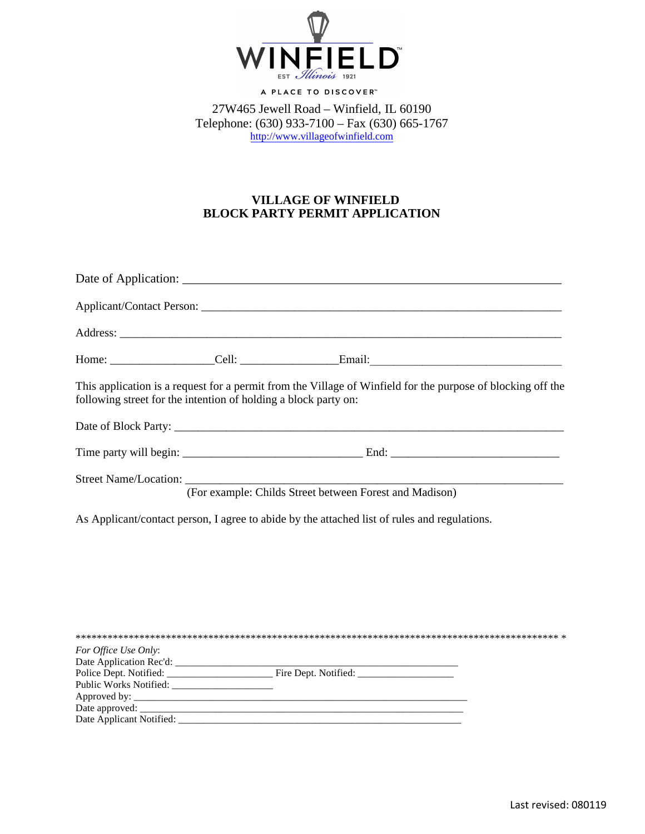

A PLACE TO DISCOVER"

27W465 Jewell Road – Winfield, IL 60190 Telephone: (630) 933-7100 – Fax (630) 665-1767 [http://www.villageofwinfield.com](http://www.villageofwinfield.com/)

## **VILLAGE OF WINFIELD BLOCK PARTY PERMIT APPLICATION**

| following street for the intention of holding a block party on: | This application is a request for a permit from the Village of Winfield for the purpose of blocking off the |  |
|-----------------------------------------------------------------|-------------------------------------------------------------------------------------------------------------|--|
|                                                                 |                                                                                                             |  |
|                                                                 |                                                                                                             |  |
|                                                                 | Street Name/Location: (For example: Childs Street between Forest and Madison)                               |  |
|                                                                 | As Applicant/contact person, I agree to abide by the attached list of rules and regulations.                |  |
|                                                                 |                                                                                                             |  |
|                                                                 |                                                                                                             |  |
|                                                                 |                                                                                                             |  |
|                                                                 |                                                                                                             |  |
| For Office Use Only:                                            |                                                                                                             |  |
|                                                                 | Police Dept. Notified: Fire Dept. Notified:                                                                 |  |
|                                                                 |                                                                                                             |  |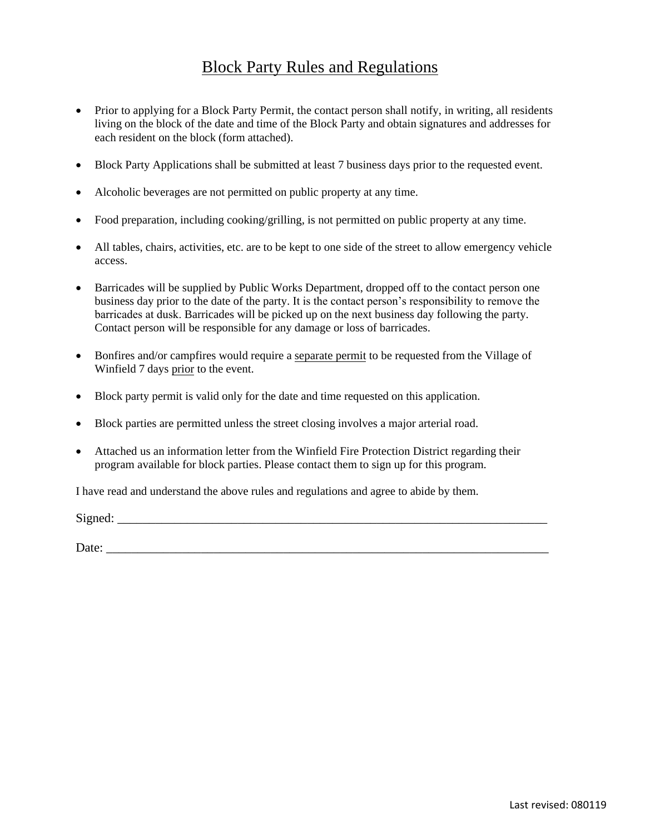## Block Party Rules and Regulations

- Prior to applying for a Block Party Permit, the contact person shall notify, in writing, all residents living on the block of the date and time of the Block Party and obtain signatures and addresses for each resident on the block (form attached).
- Block Party Applications shall be submitted at least 7 business days prior to the requested event.
- Alcoholic beverages are not permitted on public property at any time.
- Food preparation, including cooking/grilling, is not permitted on public property at any time.
- All tables, chairs, activities, etc. are to be kept to one side of the street to allow emergency vehicle access.
- Barricades will be supplied by Public Works Department, dropped off to the contact person one business day prior to the date of the party. It is the contact person's responsibility to remove the barricades at dusk. Barricades will be picked up on the next business day following the party. Contact person will be responsible for any damage or loss of barricades.
- Bonfires and/or campfires would require a separate permit to be requested from the Village of Winfield 7 days prior to the event.
- Block party permit is valid only for the date and time requested on this application.
- Block parties are permitted unless the street closing involves a major arterial road.
- Attached us an information letter from the Winfield Fire Protection District regarding their program available for block parties. Please contact them to sign up for this program.

I have read and understand the above rules and regulations and agree to abide by them.

 $Signed:$ 

Date:  $\Box$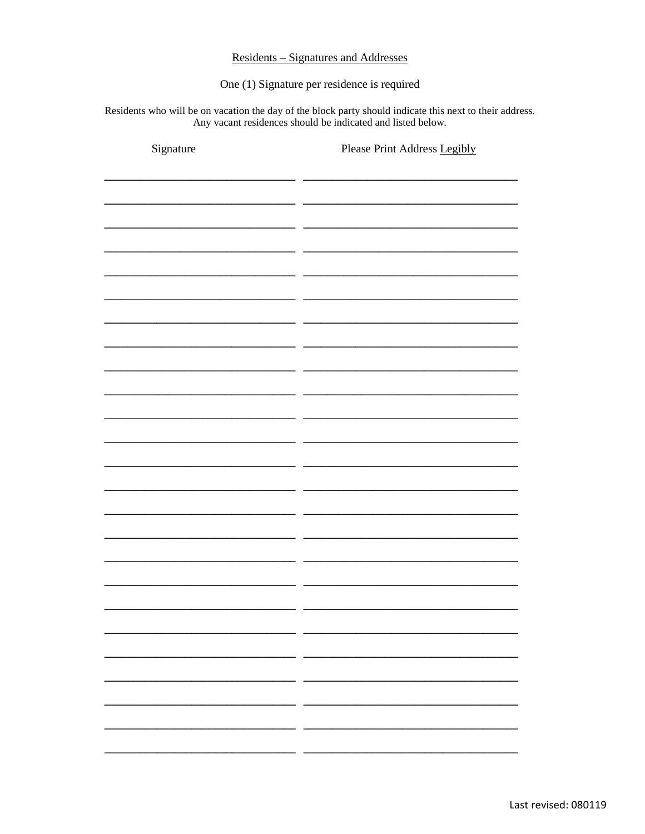## **Residents – Signatures and Addresses**

One (1) Signature per residence is required

Residents who will be on vacation the day of the block party should indicate this next to their address. Any vacant residences should be indicated and listed below.

| Signature | Please Print Address Legibly |
|-----------|------------------------------|
|           |                              |
|           |                              |
|           |                              |
|           |                              |
|           |                              |
|           |                              |
|           |                              |
|           |                              |
|           |                              |
|           |                              |
|           |                              |
|           |                              |
|           |                              |
|           |                              |
|           |                              |
|           |                              |